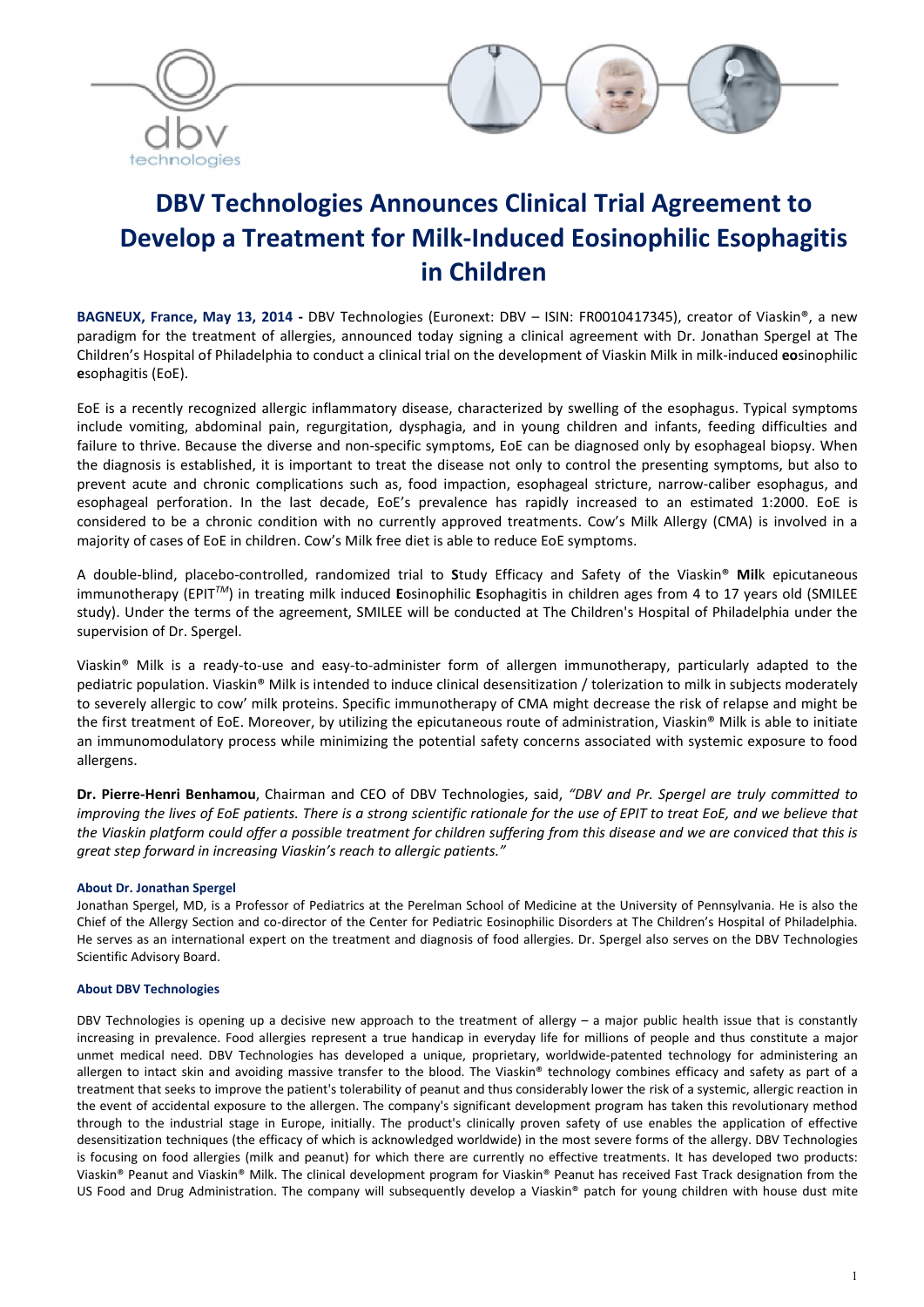



# DBV Technologies Announces Clinical Trial Agreement to Develop a Treatment for Milk-Induced Eosinophilic Esophagitis in Children

BAGNEUX, France, May 13, 2014 - DBV Technologies (Euronext: DBV - ISIN: FR0010417345), creator of Viaskin®, a new paradigm for the treatment of allergies, announced today signing a clinical agreement with Dr. Jonathan Spergel at The Children's Hospital of Philadelphia to conduct a clinical trial on the development of Viaskin Milk in milk-induced eosinophilic esophagitis (EoE).

EoE is a recently recognized allergic inflammatory disease, characterized by swelling of the esophagus. Typical symptoms include vomiting, abdominal pain, regurgitation, dysphagia, and in young children and infants, feeding difficulties and failure to thrive. Because the diverse and non-specific symptoms, EoE can be diagnosed only by esophageal biopsy. When the diagnosis is established, it is important to treat the disease not only to control the presenting symptoms, but also to prevent acute and chronic complications such as, food impaction, esophageal stricture, narrow-caliber esophagus, and esophageal perforation. In the last decade, EoE's prevalence has rapidly increased to an estimated 1:2000. EoE is considered to be a chronic condition with no currently approved treatments. Cow's Milk Allergy (CMA) is involved in a majority of cases of EoE in children. Cow's Milk free diet is able to reduce EoE symptoms.

A double-blind, placebo-controlled, randomized trial to Study Efficacy and Safety of the Viaskin® Milk epicutaneous immunotherapy (EPIT*TM*) in treating milk induced Eosinophilic Esophagitis in children ages from 4 to 17 years old (SMILEE study). Under the terms of the agreement, SMILEE will be conducted at The Children's Hospital of Philadelphia under the supervision of Dr. Spergel.

Viaskin® Milk is a ready-to-use and easy-to-administer form of allergen immunotherapy, particularly adapted to the pediatric population. Viaskin® Milk is intended to induce clinical desensitization / tolerization to milk in subjects moderately to severely allergic to cow' milk proteins. Specific immunotherapy of CMA might decrease the risk of relapse and might be the first treatment of EoE. Moreover, by utilizing the epicutaneous route of administration, Viaskin® Milk is able to initiate an immunomodulatory process while minimizing the potential safety concerns associated with systemic exposure to food allergens.

Dr. Pierre-Henri Benhamou, Chairman and CEO of DBV Technologies, said, *"DBV and Pr. Spergel are truly committed to improving the lives of EoE patients. There is a strong scientific rationale for the use of EPIT to treat EoE, and we believe that the Viaskin platform could offer a possible treatment for children suffering from this disease and we are conviced that this is great step forward in increasing Viaskin's reach to allergic patients."* 

# About Dr. Jonathan Spergel

Jonathan Spergel, MD, is a Professor of Pediatrics at the Perelman School of Medicine at the University of Pennsylvania. He is also the Chief of the Allergy Section and co-director of the Center for Pediatric Eosinophilic Disorders at The Children's Hospital of Philadelphia. He serves as an international expert on the treatment and diagnosis of food allergies. Dr. Spergel also serves on the DBV Technologies Scientific Advisory Board.

#### About DBV Technologies

DBV Technologies is opening up a decisive new approach to the treatment of allergy – a major public health issue that is constantly increasing in prevalence. Food allergies represent a true handicap in everyday life for millions of people and thus constitute a major unmet medical need. DBV Technologies has developed a unique, proprietary, worldwide-patented technology for administering an allergen to intact skin and avoiding massive transfer to the blood. The Viaskin® technology combines efficacy and safety as part of a treatment that seeks to improve the patient's tolerability of peanut and thus considerably lower the risk of a systemic, allergic reaction in the event of accidental exposure to the allergen. The company's significant development program has taken this revolutionary method through to the industrial stage in Europe, initially. The product's clinically proven safety of use enables the application of effective desensitization techniques (the efficacy of which is acknowledged worldwide) in the most severe forms of the allergy. DBV Technologies is focusing on food allergies (milk and peanut) for which there are currently no effective treatments. It has developed two products: Viaskin® Peanut and Viaskin® Milk. The clinical development program for Viaskin® Peanut has received Fast Track designation from the US Food and Drug Administration. The company will subsequently develop a Viaskin® patch for young children with house dust mite